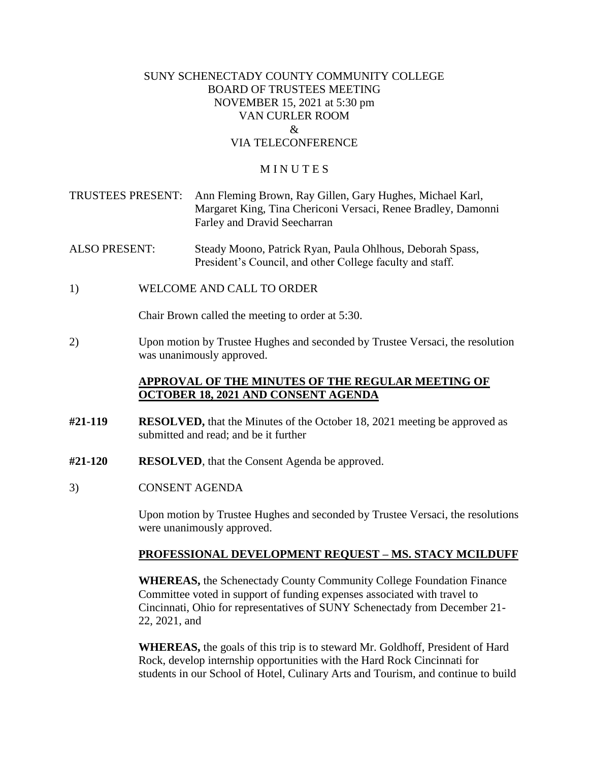### SUNY SCHENECTADY COUNTY COMMUNITY COLLEGE BOARD OF TRUSTEES MEETING NOVEMBER 15, 2021 at 5:30 pm VAN CURLER ROOM  $\mathcal{R}_{\mathcal{L}}$ VIA TELECONFERENCE

#### **MINUTES**

- TRUSTEES PRESENT: Ann Fleming Brown, Ray Gillen, Gary Hughes, Michael Karl, Margaret King, Tina Chericoni Versaci, Renee Bradley, Damonni Farley and Dravid Seecharran
- ALSO PRESENT: Steady Moono, Patrick Ryan, Paula Ohlhous, Deborah Spass, President's Council, and other College faculty and staff.
- 1) WELCOME AND CALL TO ORDER

Chair Brown called the meeting to order at 5:30.

 2) Upon motion by Trustee Hughes and seconded by Trustee Versaci, the resolution was unanimously approved.

# **APPROVAL OF THE MINUTES OF THE REGULAR MEETING OF OCTOBER 18, 2021 AND CONSENT AGENDA**

- **#21-119 RESOLVED,** that the Minutes of the October 18, 2021 meeting be approved as submitted and read; and be it further
- **#21-120 RESOLVED**, that the Consent Agenda be approved.
- 3) CONSENT AGENDA

Upon motion by Trustee Hughes and seconded by Trustee Versaci, the resolutions were unanimously approved.

#### **PROFESSIONAL DEVELOPMENT REQUEST – MS. STACY MCILDUFF**

 **WHEREAS,** the Schenectady County Community College Foundation Finance Committee voted in support of funding expenses associated with travel to Cincinnati, Ohio for representatives of SUNY Schenectady from December 21- 22, 2021, and

**WHEREAS,** the goals of this trip is to steward Mr. Goldhoff, President of Hard Rock, develop internship opportunities with the Hard Rock Cincinnati for students in our School of Hotel, Culinary Arts and Tourism, and continue to build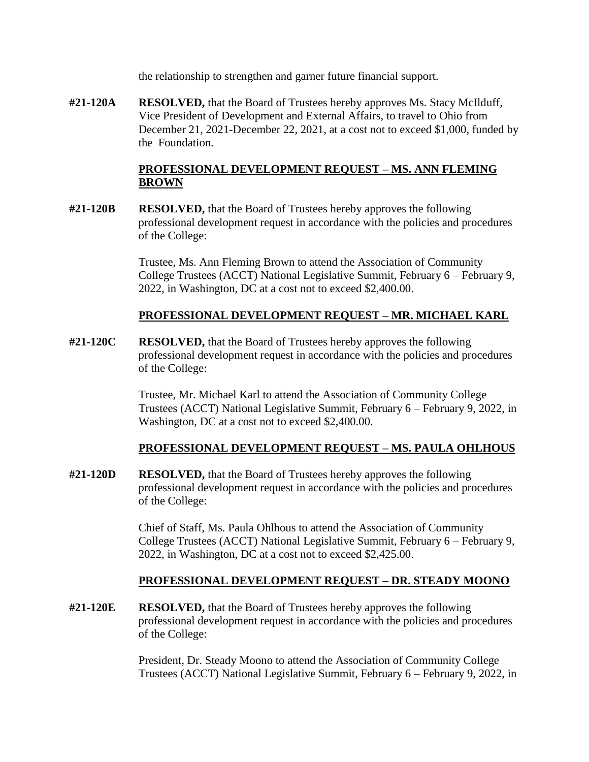the relationship to strengthen and garner future financial support.

**#21-120A RESOLVED,** that the Board of Trustees hereby approves Ms. Stacy McIlduff, Vice President of Development and External Affairs, to travel to Ohio from December 21, 2021-December 22, 2021, at a cost not to exceed \$1,000, funded by the Foundation.

# **PROFESSIONAL DEVELOPMENT REQUEST – MS. ANN FLEMING BROWN**

**#21-120B RESOLVED,** that the Board of Trustees hereby approves the following professional development request in accordance with the policies and procedures of the College:

> Trustee, Ms. Ann Fleming Brown to attend the Association of Community College Trustees (ACCT) National Legislative Summit, February 6 – February 9, 2022, in Washington, DC at a cost not to exceed [\\$2,400.00](https://2,400.00).

### **PROFESSIONAL DEVELOPMENT REQUEST – MR. MICHAEL KARL**

**#21-120C RESOLVED,** that the Board of Trustees hereby approves the following professional development request in accordance with the policies and procedures of the College:

> Trustee, Mr. Michael Karl to attend the Association of Community College Trustees (ACCT) National Legislative Summit, February 6 – February 9, 2022, in Washington, DC at a cost not to exceed \$[2,400.00.](https://2,400.00)

# **PROFESSIONAL DEVELOPMENT REQUEST – MS. PAULA OHLHOUS**

**#21-120D RESOLVED,** that the Board of Trustees hereby approves the following professional development request in accordance with the policies and procedures of the College:

> Chief of Staff, Ms. Paula Ohlhous to attend the Association of Community College Trustees (ACCT) National Legislative Summit, February 6 – February 9, 2022, in Washington, DC at a cost not to exceed [\\$2,425.00](https://2,425.00).

# **PROFESSIONAL DEVELOPMENT REQUEST – DR. STEADY MOONO**

**#21-120E RESOLVED,** that the Board of Trustees hereby approves the following professional development request in accordance with the policies and procedures of the College:

> President, Dr. Steady Moono to attend the Association of Community College Trustees (ACCT) National Legislative Summit, February 6 – February 9, 2022, in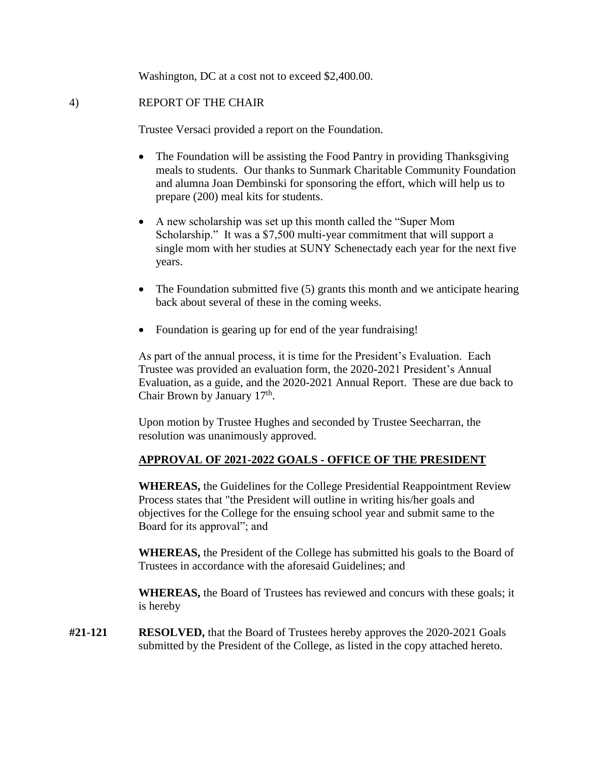Washington, DC at a cost not to exceed \$[2,400.00.](https://2,400.00)

## 4) REPORT OF THE CHAIR

Trustee Versaci provided a report on the Foundation.

- The Foundation will be assisting the Food Pantry in providing Thanksgiving meals to students. Our thanks to Sunmark Charitable Community Foundation and alumna Joan Dembinski for sponsoring the effort, which will help us to prepare (200) meal kits for students.
- A new scholarship was set up this month called the "Super Mom Scholarship." It was a \$7,500 multi-year commitment that will support a single mom with her studies at SUNY Schenectady each year for the next five years.
- The Foundation submitted five (5) grants this month and we anticipate hearing back about several of these in the coming weeks.
- Foundation is gearing up for end of the year fundraising!

As part of the annual process, it is time for the President's Evaluation. Each Trustee was provided an evaluation form, the 2020-2021 President's Annual Evaluation, as a guide, and the 2020-2021 Annual Report. These are due back to Chair Brown by January  $17<sup>th</sup>$ .

Upon motion by Trustee Hughes and seconded by Trustee Seecharran, the resolution was unanimously approved.

#### **APPROVAL OF 2021-2022 GOALS - OFFICE OF THE PRESIDENT**

**WHEREAS,** the Guidelines for the College Presidential Reappointment Review Process states that "the President will outline in writing his/her goals and objectives for the College for the ensuing school year and submit same to the Board for its approval"; and

**WHEREAS,** the President of the College has submitted his goals to the Board of Trustees in accordance with the aforesaid Guidelines; and

 **WHEREAS,** the Board of Trustees has reviewed and concurs with these goals; it is hereby

**#21-121 RESOLVED,** that the Board of Trustees hereby approves the 2020-2021 Goals submitted by the President of the College, as listed in the copy attached hereto.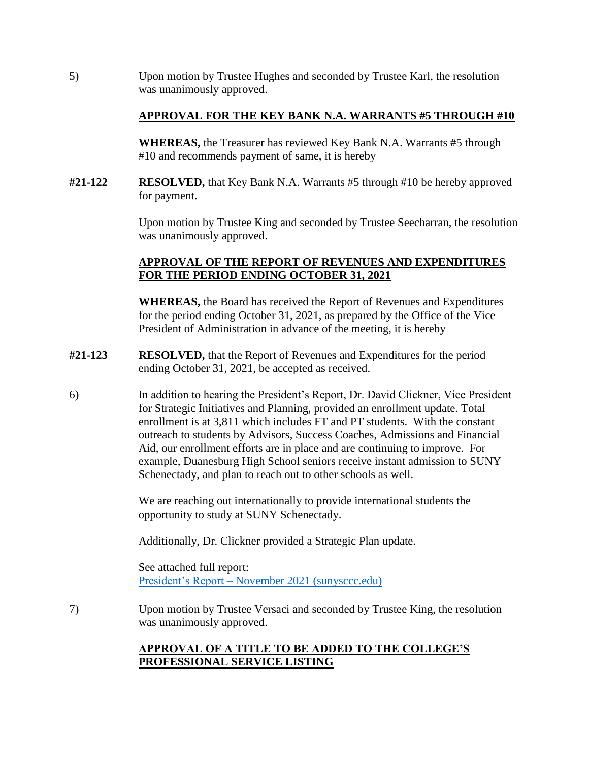5) Upon motion by Trustee Hughes and seconded by Trustee Karl, the resolution was unanimously approved.

### **APPROVAL FOR THE KEY BANK N.A. WARRANTS #5 THROUGH #10**

**WHEREAS,** the Treasurer has reviewed Key Bank N.A. Warrants #5 through #10 and recommends payment of same, it is hereby

**#21-122 RESOLVED,** that Key Bank N.A. Warrants #5 through #10 be hereby approved for payment.

> Upon motion by Trustee King and seconded by Trustee Seecharran, the resolution was unanimously approved.

# **APPROVAL OF THE REPORT OF REVENUES AND EXPENDITURES FOR THE PERIOD ENDING OCTOBER 31, 2021**

**WHEREAS,** the Board has received the Report of Revenues and Expenditures for the period ending October 31, 2021, as prepared by the Office of the Vice President of Administration in advance of the meeting, it is hereby

- **#21-123 RESOLVED,** that the Report of Revenues and Expenditures for the period ending October 31, 2021, be accepted as received.
- 6) In addition to hearing the President's Report, Dr. David Clickner, Vice President for Strategic Initiatives and Planning, provided an enrollment update. Total enrollment is at 3,811 which includes FT and PT students. With the constant outreach to students by Advisors, Success Coaches, Admissions and Financial Aid, our enrollment efforts are in place and are continuing to improve. For example, Duanesburg High School seniors receive instant admission to SUNY Schenectady, and plan to reach out to other schools as well.

We are reaching out internationally to provide international students the opportunity to study at SUNY Schenectady.

Additionally, Dr. Clickner provided a Strategic Plan update.

See attached full report: President's Report – [November 2021 \(sunysccc.edu\)](https://sunysccc.edu/PDF/About%20SCCC/CollegeLeadershipVision/PresidentsReport_11-2021.pdf) 

7) Upon motion by Trustee Versaci and seconded by Trustee King, the resolution was unanimously approved.

# **APPROVAL OF A TITLE TO BE ADDED TO THE COLLEGE'S PROFESSIONAL SERVICE LISTING**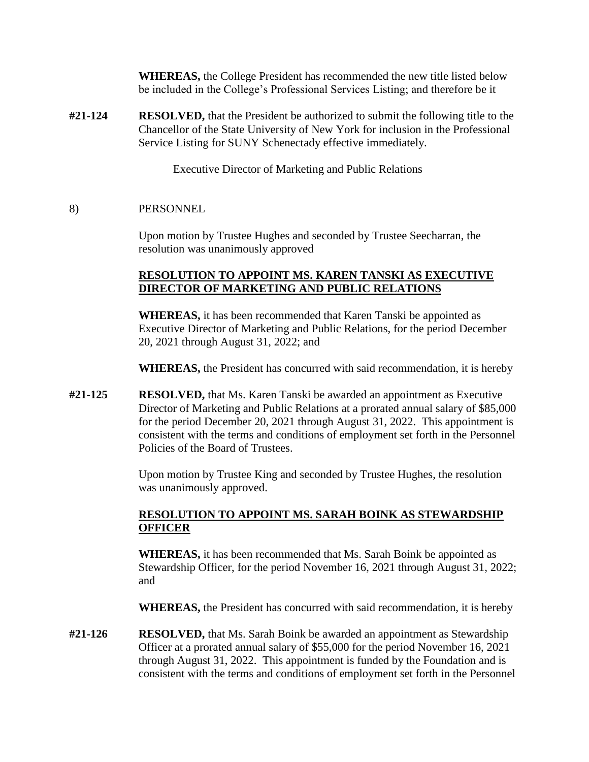**WHEREAS,** the College President has recommended the new title listed below be included in the College's Professional Services Listing; and therefore be it

 Service Listing for SUNY Schenectady effective immediately. **#21-124 RESOLVED,** that the President be authorized to submit the following title to the Chancellor of the State University of New York for inclusion in the Professional

Executive Director of Marketing and Public Relations

### 8) PERSONNEL

Upon motion by Trustee Hughes and seconded by Trustee Seecharran, the resolution was unanimously approved

## **RESOLUTION TO APPOINT MS. KAREN TANSKI AS EXECUTIVE DIRECTOR OF MARKETING AND PUBLIC RELATIONS**

**WHEREAS,** it has been recommended that Karen Tanski be appointed as Executive Director of Marketing and Public Relations, for the period December 20, 2021 through August 31, 2022; and

**WHEREAS,** the President has concurred with said recommendation, it is hereby

**#21-125 RESOLVED,** that Ms. Karen Tanski be awarded an appointment as Executive Director of Marketing and Public Relations at a prorated annual salary of \$85,000 for the period December 20, 2021 through August 31, 2022. This appointment is consistent with the terms and conditions of employment set forth in the Personnel Policies of the Board of Trustees.

> Upon motion by Trustee King and seconded by Trustee Hughes, the resolution was unanimously approved.

# **RESOLUTION TO APPOINT MS. SARAH BOINK AS STEWARDSHIP OFFICER**

**WHEREAS,** it has been recommended that Ms. Sarah Boink be appointed as Stewardship Officer, for the period November 16, 2021 through August 31, 2022; and

**WHEREAS,** the President has concurred with said recommendation, it is hereby

**#21-126 RESOLVED,** that Ms. Sarah Boink be awarded an appointment as Stewardship Officer at a prorated annual salary of \$55,000 for the period November 16, 2021 through August 31, 2022. This appointment is funded by the Foundation and is consistent with the terms and conditions of employment set forth in the Personnel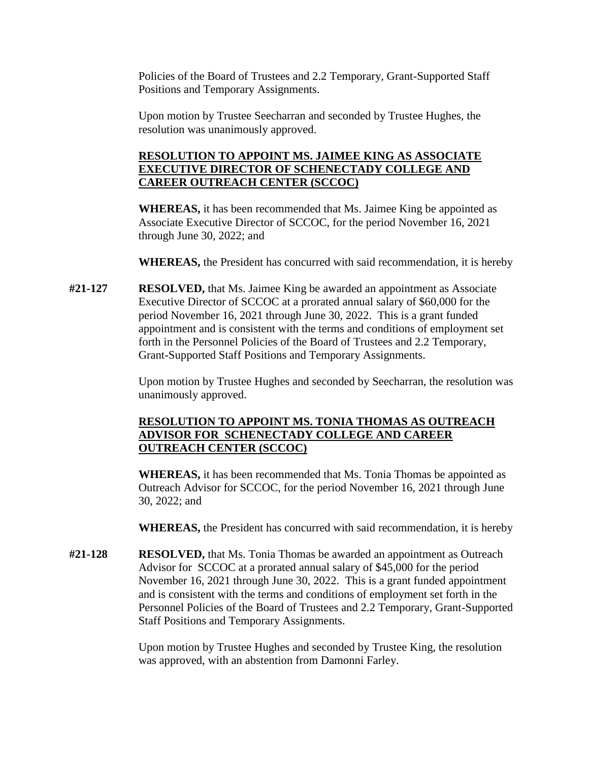Policies of the Board of Trustees and 2.2 Temporary, Grant-Supported Staff Positions and Temporary Assignments.

Upon motion by Trustee Seecharran and seconded by Trustee Hughes, the resolution was unanimously approved.

# **RESOLUTION TO APPOINT MS. JAIMEE KING AS ASSOCIATE EXECUTIVE DIRECTOR OF SCHENECTADY COLLEGE AND CAREER OUTREACH CENTER (SCCOC)**

**WHEREAS,** it has been recommended that Ms. Jaimee King be appointed as Associate Executive Director of SCCOC, for the period November 16, 2021 through June 30, 2022; and

**WHEREAS,** the President has concurred with said recommendation, it is hereby

**#21-127 RESOLVED,** that Ms. Jaimee King be awarded an appointment as Associate Executive Director of SCCOC at a prorated annual salary of \$60,000 for the period November 16, 2021 through June 30, 2022. This is a grant funded appointment and is consistent with the terms and conditions of employment set forth in the Personnel Policies of the Board of Trustees and 2.2 Temporary, Grant-Supported Staff Positions and Temporary Assignments.

> Upon motion by Trustee Hughes and seconded by Seecharran, the resolution was unanimously approved.

# **RESOLUTION TO APPOINT MS. TONIA THOMAS AS OUTREACH ADVISOR FOR SCHENECTADY COLLEGE AND CAREER OUTREACH CENTER (SCCOC)**

**WHEREAS,** it has been recommended that Ms. Tonia Thomas be appointed as Outreach Advisor for SCCOC, for the period November 16, 2021 through June 30, 2022; and

**WHEREAS,** the President has concurred with said recommendation, it is hereby

**#21-128 RESOLVED,** that Ms. Tonia Thomas be awarded an appointment as Outreach Advisor for SCCOC at a prorated annual salary of \$45,000 for the period November 16, 2021 through June 30, 2022. This is a grant funded appointment and is consistent with the terms and conditions of employment set forth in the Personnel Policies of the Board of Trustees and 2.2 Temporary, Grant-Supported Staff Positions and Temporary Assignments.

> Upon motion by Trustee Hughes and seconded by Trustee King, the resolution was approved, with an abstention from Damonni Farley.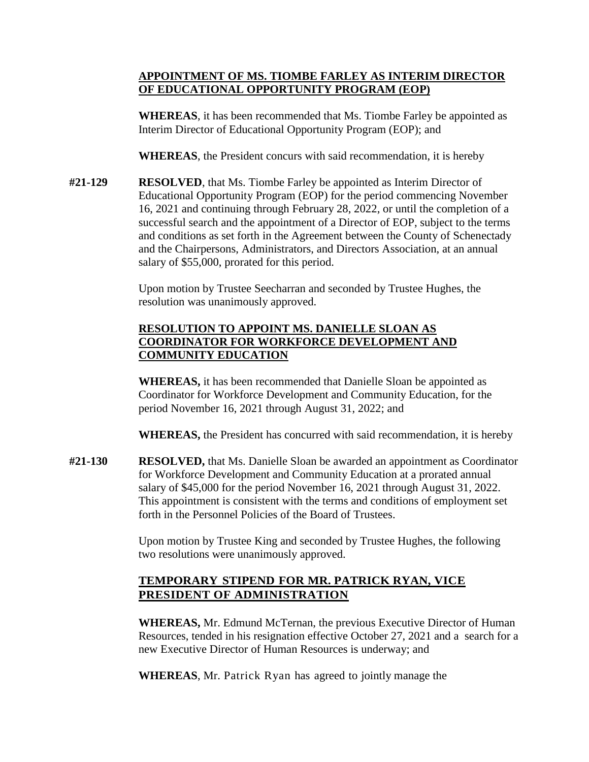# **APPOINTMENT OF MS. TIOMBE FARLEY AS INTERIM DIRECTOR OF EDUCATIONAL OPPORTUNITY PROGRAM (EOP)**

**WHEREAS**, it has been recommended that Ms. Tiombe Farley be appointed as Interim Director of Educational Opportunity Program (EOP); and

**WHEREAS**, the President concurs with said recommendation, it is hereby

**#21-129 RESOLVED**, that Ms. Tiombe Farley be appointed as Interim Director of Educational Opportunity Program (EOP) for the period commencing November 16, 2021 and continuing through February 28, 2022, or until the completion of a successful search and the appointment of a Director of EOP, subject to the terms and conditions as set forth in the Agreement between the County of Schenectady and the Chairpersons, Administrators, and Directors Association, at an annual salary of \$55,000, prorated for this period.

> Upon motion by Trustee Seecharran and seconded by Trustee Hughes, the resolution was unanimously approved.

# **RESOLUTION TO APPOINT MS. DANIELLE SLOAN AS COORDINATOR FOR WORKFORCE DEVELOPMENT AND COMMUNITY EDUCATION**

**WHEREAS,** it has been recommended that Danielle Sloan be appointed as Coordinator for Workforce Development and Community Education, for the period November 16, 2021 through August 31, 2022; and

**WHEREAS,** the President has concurred with said recommendation, it is hereby

**#21-130 RESOLVED,** that Ms. Danielle Sloan be awarded an appointment as Coordinator for Workforce Development and Community Education at a prorated annual salary of \$45,000 for the period November 16, 2021 through August 31, 2022. This appointment is consistent with the terms and conditions of employment set forth in the Personnel Policies of the Board of Trustees.

> Upon motion by Trustee King and seconded by Trustee Hughes, the following two resolutions were unanimously approved.

# **PRESIDENT OF ADMINISTRATION TEMPORARY STIPEND FOR MR. PATRICK RYAN, VICE**

**WHEREAS,** Mr. Edmund McTernan, the previous Executive Director of Human Resources, tended in his resignation effective October 27, 2021 and a search for a new Executive Director of Human Resources is underway; and

**WHEREAS**, Mr. Patrick Ryan has agreed to jointly manage the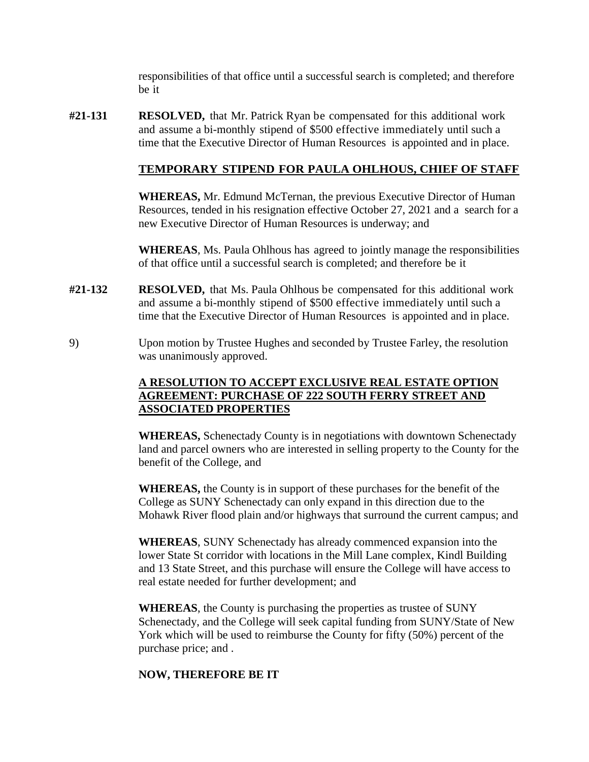responsibilities of that office until a successful search is completed; and therefore be it

**#21-131 RESOLVED,** that Mr. Patrick Ryan be compensated for this additional work and assume a bi-monthly stipend of \$500 effective immediately until such a time that the Executive Director of Human Resources is appointed and in place.

# **TEMPORARY STIPEND FOR PAULA OHLHOUS, CHIEF OF STAFF**

**WHEREAS,** Mr. Edmund McTernan, the previous Executive Director of Human Resources, tended in his resignation effective October 27, 2021 and a search for a new Executive Director of Human Resources is underway; and

**WHEREAS**, Ms. Paula Ohlhous has agreed to jointly manage the responsibilities of that office until a successful search is completed; and therefore be it

- **#21-132 RESOLVED,** that Ms. Paula Ohlhous be compensated for this additional work and assume a bi-monthly stipend of \$500 effective immediately until such a time that the Executive Director of Human Resources is appointed and in place.
- 9) Upon motion by Trustee Hughes and seconded by Trustee Farley, the resolution was unanimously approved.

# **A RESOLUTION TO ACCEPT EXCLUSIVE REAL ESTATE OPTION AGREEMENT: PURCHASE OF 222 SOUTH FERRY STREET AND ASSOCIATED PROPERTIES**

**WHEREAS,** Schenectady County is in negotiations with downtown Schenectady land and parcel owners who are interested in selling property to the County for the benefit of the College, and

**WHEREAS,** the County is in support of these purchases for the benefit of the College as SUNY Schenectady can only expand in this direction due to the Mohawk River flood plain and/or highways that surround the current campus; and

**WHEREAS**, SUNY Schenectady has already commenced expansion into the lower State St corridor with locations in the Mill Lane complex, Kindl Building and 13 State Street, and this purchase will ensure the College will have access to real estate needed for further development; and

**WHEREAS**, the County is purchasing the properties as trustee of SUNY Schenectady, and the College will seek capital funding from SUNY/State of New York which will be used to reimburse the County for fifty (50%) percent of the purchase price; and .

#### **NOW, THEREFORE BE IT**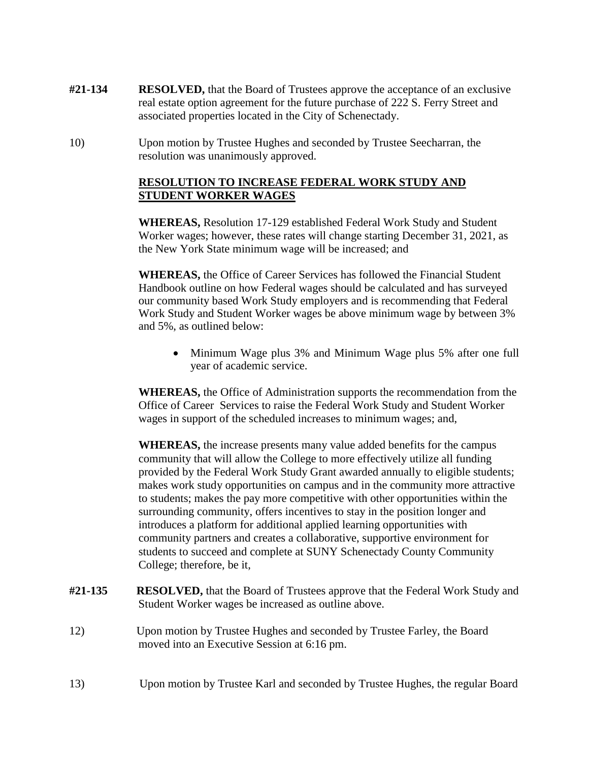- **#21-134 RESOLVED,** that the Board of Trustees approve the acceptance of an exclusive real estate option agreement for the future purchase of 222 S. Ferry Street and associated properties located in the City of Schenectady.
- 10) Upon motion by Trustee Hughes and seconded by Trustee Seecharran, the resolution was unanimously approved.

### **RESOLUTION TO INCREASE FEDERAL WORK STUDY AND STUDENT WORKER WAGES**

**WHEREAS,** Resolution 17-129 established Federal Work Study and Student Worker wages; however, these rates will change starting December 31, 2021, as the New York State minimum wage will be increased; and

**WHEREAS,** the Office of Career Services has followed the Financial Student Handbook outline on how Federal wages should be calculated and has surveyed our community based Work Study employers and is recommending that Federal Work Study and Student Worker wages be above minimum wage by between 3% and 5%, as outlined below:

 • Minimum Wage plus 3% and Minimum Wage plus 5% after one full year of academic service.

**WHEREAS,** the Office of Administration supports the recommendation from the Office of Career Services to raise the Federal Work Study and Student Worker wages in support of the scheduled increases to minimum wages; and,

 makes work study opportunities on campus and in the community more attractive to students; makes the pay more competitive with other opportunities within the **WHEREAS,** the increase presents many value added benefits for the campus community that will allow the College to more effectively utilize all funding provided by the Federal Work Study Grant awarded annually to eligible students; surrounding community, offers incentives to stay in the position longer and introduces a platform for additional applied learning opportunities with community partners and creates a collaborative, supportive environment for students to succeed and complete at SUNY Schenectady County Community College; therefore, be it,

- **RESOLVED,** that the Board of Trustees approve that the Federal Work Study and Student Worker wages be increased as outline above.
- $12)$ Upon motion by Trustee Hughes and seconded by Trustee Farley, the Board moved into an Executive Session at 6:16 pm.
- $13)$ Upon motion by Trustee Karl and seconded by Trustee Hughes, the regular Board